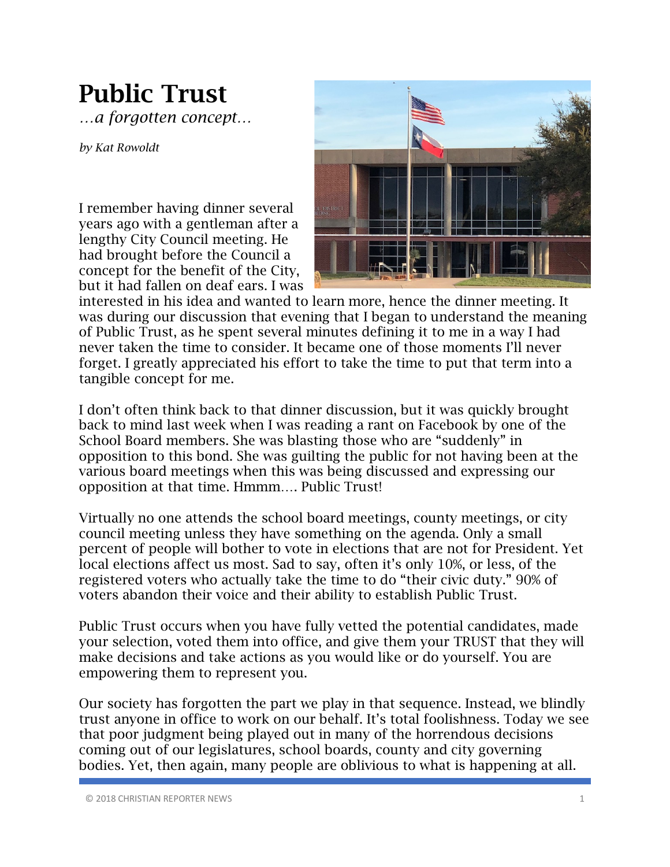## Public Trust

*…a forgotten concept…*

*by Kat Rowoldt*

I remember having dinner several years ago with a gentleman after a lengthy City Council meeting. He had brought before the Council a concept for the benefit of the City, but it had fallen on deaf ears. I was



interested in his idea and wanted to learn more, hence the dinner meeting. It was during our discussion that evening that I began to understand the meaning of Public Trust, as he spent several minutes defining it to me in a way I had never taken the time to consider. It became one of those moments I'll never forget. I greatly appreciated his effort to take the time to put that term into a tangible concept for me.

I don't often think back to that dinner discussion, but it was quickly brought back to mind last week when I was reading a rant on Facebook by one of the School Board members. She was blasting those who are "suddenly" in opposition to this bond. She was guilting the public for not having been at the various board meetings when this was being discussed and expressing our opposition at that time. Hmmm…. Public Trust!

Virtually no one attends the school board meetings, county meetings, or city council meeting unless they have something on the agenda. Only a small percent of people will bother to vote in elections that are not for President. Yet local elections affect us most. Sad to say, often it's only 10%, or less, of the registered voters who actually take the time to do "their civic duty." 90% of voters abandon their voice and their ability to establish Public Trust.

Public Trust occurs when you have fully vetted the potential candidates, made your selection, voted them into office, and give them your TRUST that they will make decisions and take actions as you would like or do yourself. You are empowering them to represent you.

Our society has forgotten the part we play in that sequence. Instead, we blindly trust anyone in office to work on our behalf. It's total foolishness. Today we see that poor judgment being played out in many of the horrendous decisions coming out of our legislatures, school boards, county and city governing bodies. Yet, then again, many people are oblivious to what is happening at all.

© 2018 CHRISTIAN REPORTER NEWS 1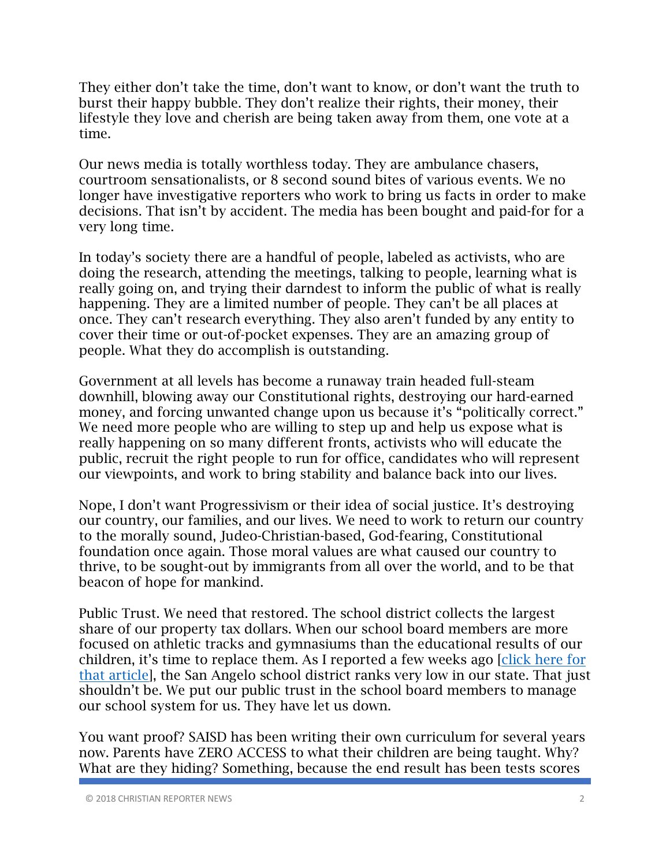They either don't take the time, don't want to know, or don't want the truth to burst their happy bubble. They don't realize their rights, their money, their lifestyle they love and cherish are being taken away from them, one vote at a time.

Our news media is totally worthless today. They are ambulance chasers, courtroom sensationalists, or 8 second sound bites of various events. We no longer have investigative reporters who work to bring us facts in order to make decisions. That isn't by accident. The media has been bought and paid-for for a very long time.

In today's society there are a handful of people, labeled as activists, who are doing the research, attending the meetings, talking to people, learning what is really going on, and trying their darndest to inform the public of what is really happening. They are a limited number of people. They can't be all places at once. They can't research everything. They also aren't funded by any entity to cover their time or out-of-pocket expenses. They are an amazing group of people. What they do accomplish is outstanding.

Government at all levels has become a runaway train headed full-steam downhill, blowing away our Constitutional rights, destroying our hard-earned money, and forcing unwanted change upon us because it's "politically correct." We need more people who are willing to step up and help us expose what is really happening on so many different fronts, activists who will educate the public, recruit the right people to run for office, candidates who will represent our viewpoints, and work to bring stability and balance back into our lives.

Nope, I don't want Progressivism or their idea of social justice. It's destroying our country, our families, and our lives. We need to work to return our country to the morally sound, Judeo-Christian-based, God-fearing, Constitutional foundation once again. Those moral values are what caused our country to thrive, to be sought-out by immigrants from all over the world, and to be that beacon of hope for mankind.

Public Trust. We need that restored. The school district collects the largest share of our property tax dollars. When our school board members are more focused on athletic tracks and gymnasiums than the educational results of our children, it's time to replace them. As I reported a few weeks ago [click here for that article], the San Angelo school district ranks very low in our state. That just shouldn't be. We put our public trust in the school board members to manage our school system for us. They have let us down.

You want proof? SAISD has been writing their own curriculum for several years now. Parents have ZERO ACCESS to what their children are being taught. Why? What are they hiding? Something, because the end result has been tests scores